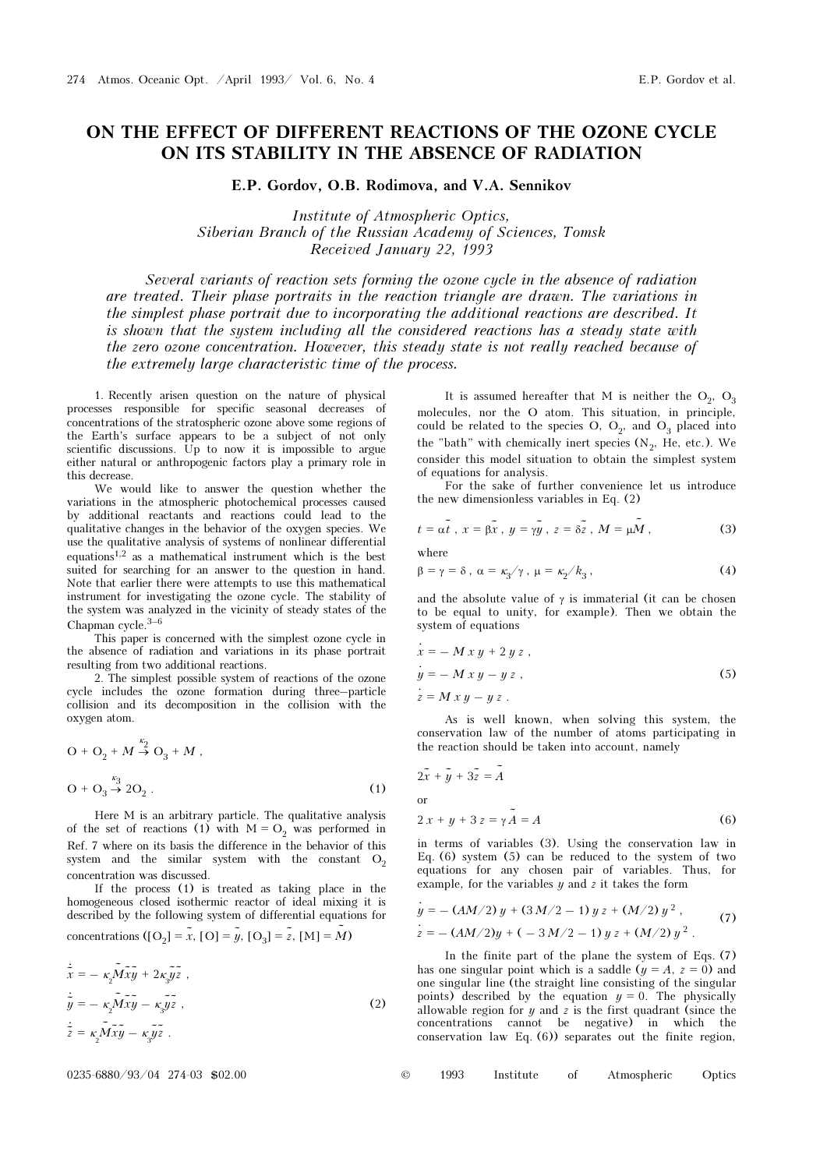## ON THE EFFECT OF DIFFERENT REACTIONS OF THE OZONE CYCLE ON ITS STABILITY IN THE ABSENCE OF RADIATION

E.P. Gordov, O.B. Rodimova, and V.A. Sennikov

Institute of Atmospheric Optics, Siberian Branch of the Russian Academy of Sciences, Tomsk Received January 22, 1993

Several variants of reaction sets forming the ozone cycle in the absence of radiation are treated. Their phase portraits in the reaction triangle are drawn. The variations in the simplest phase portrait due to incorporating the additional reactions are described. It is shown that the system including all the considered reactions has a steady state with the zero ozone concentration. However, this steady state is not really reached because of the extremely large characteristic time of the process.

1. Recently arisen question on the nature of physical processes responsible for specific seasonal decreases of concentrations of the stratospheric ozone above some regions of the Earth's surface appears to be a subject of not only scientific discussions. Up to now it is impossible to argue either natural or anthropogenic factors play a primary role in this decrease.

We would like to answer the question whether the variations in the atmospheric photochemical processes caused by additional reactants and reactions could lead to the qualitative changes in the behavior of the oxygen species. We use the qualitative analysis of systems of nonlinear differential equations<sup>1,2</sup> as a mathematical instrument which is the best suited for searching for an answer to the question in hand. Note that earlier there were attempts to use this mathematical instrument for investigating the ozone cycle. The stability of the system was analyzed in the vicinity of steady states of the Chapman cycle.3–6

This paper is concerned with the simplest ozone cycle in the absence of radiation and variations in its phase portrait resulting from two additional reactions.

2. The simplest possible system of reactions of the ozone cycle includes the ozone formation during three–particle collision and its decomposition in the collision with the oxygen atom.

$$
O + O_2 + M \xrightarrow{\kappa_2} O_3 + M ,
$$
  
\n
$$
O + O_3 \xrightarrow{\kappa_3} 2O_2 .
$$
 (1)

Here M is an arbitrary particle. The qualitative analysis of the set of reactions (1) with  $M = O<sub>2</sub>$  was performed in Ref. 7 where on its basis the difference in the behavior of this system and the similar system with the constant  $O<sub>2</sub>$ concentration was discussed.

If the process (1) is treated as taking place in the homogeneous closed isothermic reactor of ideal mixing it is described by the following system of differential equations for concentrations  $([O_2] = \tilde{x}, [O] = \tilde{y}, [O_3] = \tilde{z}, [M] = \tilde{M}$ )

$$
\dot{\tilde{x}} = -\kappa_2 \tilde{M} \tilde{x} \tilde{y} + 2\kappa_3 \tilde{y} \tilde{z} ,
$$
  
\n
$$
\dot{\tilde{y}} = -\kappa_2 \tilde{M} \tilde{x} \tilde{y} - \kappa_3 \tilde{y} \tilde{z} ,
$$
  
\n
$$
\dot{\tilde{z}} = \kappa_2 \tilde{M} \tilde{x} \tilde{y} - \kappa_3 \tilde{y} \tilde{z} .
$$
\n(2)

 $0235-6880/93/04$  274-03 \$02.00

It is assumed hereafter that M is neither the  $O_2$ ,  $O_3$ molecules, nor the O atom. This situation, in principle, could be related to the species O,  $O_2$ , and  $O_3$  placed into the "bath" with chemically inert species  $(N_2, He, etc.).$  We consider this model situation to obtain the simplest system of equations for analysis.

For the sake of further convenience let us introduce the new dimensionless variables in Eq. (2)

$$
t = \alpha \tilde{t}, \ x = \beta \tilde{x}, \ y = \gamma \tilde{y}, \ z = \delta \tilde{z}, \ M = \mu \tilde{M}, \tag{3}
$$

where

$$
\beta = \gamma = \delta \,, \ \alpha = \kappa_3 / \gamma \,, \ \mu = \kappa_2 / k_3 \,, \tag{4}
$$

and the absolute value of  $\gamma$  is immaterial (it can be chosen to be equal to unity, for example). Then we obtain the system of equations

$$
\begin{aligned}\n\dot{x} &= -M x y + 2 y z, \\
\dot{y} &= -M x y - y z, \\
\dot{z} &= M x y - y z.\n\end{aligned}
$$
\n(5)

As is well known, when solving this system, the conservation law of the number of atoms participating in the reaction should be taken into account, namely

$$
2\tilde{x} + \tilde{y} + 3\tilde{z} = \tilde{A}
$$
  
or  

$$
2x + y + 3z = \gamma \tilde{A} = A
$$
 (6)

in terms of variables (3). Using the conservation law in Eq. (6) system (5) can be reduced to the system of two equations for any chosen pair of variables. Thus, for example, for the variables  $y$  and  $z$  it takes the form

$$
\begin{aligned}\n\dot{y} &= -\left(AM/2\right)y + \left(3\,M/2 - 1\right)y\,z + \left(M/2\right)y^2, \\
\dot{z} &= -\left(AM/2\right)y + \left(-3\,M/2 - 1\right)y\,z + \left(M/2\right)y^2.\n\end{aligned}\n\tag{7}
$$

In the finite part of the plane the system of Eqs. (7) has one singular point which is a saddle  $(y = A, z = 0)$  and one singular line (the straight line consisting of the singular points) described by the equation  $y = 0$ . The physically allowable region for  $y$  and  $z$  is the first quadrant (since the concentrations cannot be negative) in which the conservation law Eq. (6)) separates out the finite region,

| $^{\circ}$ | 1993 | Institute | Atmospheric | Optics |
|------------|------|-----------|-------------|--------|
|            |      |           |             |        |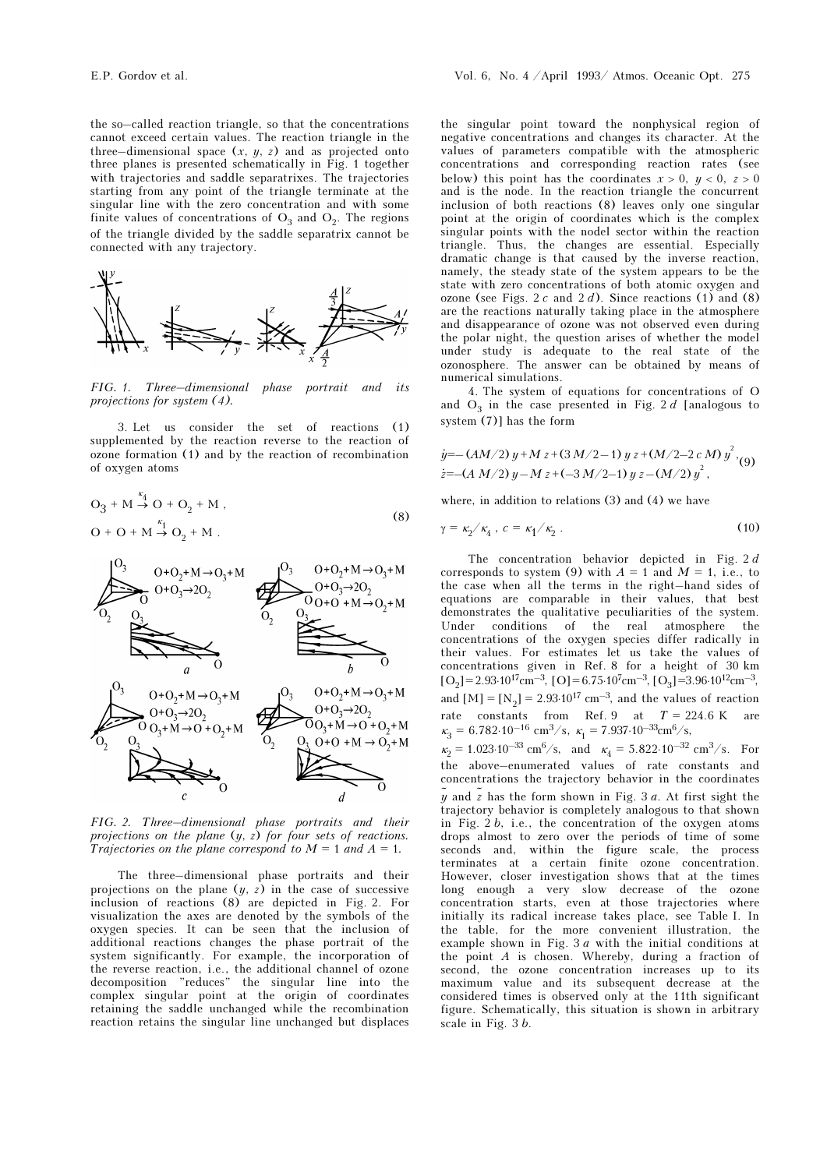singular line with the zero concentration and with some finite values of concentrations of  $O_3$  and  $O_2$ . The regions of the triangle divided by the saddle separatrix cannot be connected with any trajectory.



FIG. 1. Three–dimensional phase portrait and its projections for system (4).

3. Let us consider the set of reactions (1) supplemented by the reaction reverse to the reaction of ozone formation (1) and by the reaction of recombination of oxygen atoms

$$
O_3 + M \stackrel{\kappa_4}{\to} O + O_2 + M ,
$$
  
\n
$$
O + O + M \stackrel{\kappa_1}{\to} O_2 + M .
$$
 (8)



FIG. 2. Three–dimensional phase portraits and their projections on the plane (y, z) for four sets of reactions. Trajectories on the plane correspond to  $M = 1$  and  $A = 1$ .

The three–dimensional phase portraits and their projections on the plane  $(y, z)$  in the case of successive inclusion of reactions (8) are depicted in Fig. 2. For visualization the axes are denoted by the symbols of the oxygen species. It can be seen that the inclusion of additional reactions changes the phase portrait of the system significantly. For example, the incorporation of the reverse reaction, i.e., the additional channel of ozone decomposition "reduces" the singular line into the complex singular point at the origin of coordinates retaining the saddle unchanged while the recombination reaction retains the singular line unchanged but displaces

the singular point toward the nonphysical region of negative concentrations and changes its character. At the values of parameters compatible with the atmospheric concentrations and corresponding reaction rates (see below) this point has the coordinates  $x > 0$ ,  $y < 0$ ,  $z > 0$ and is the node. In the reaction triangle the concurrent inclusion of both reactions (8) leaves only one singular point at the origin of coordinates which is the complex singular points with the nodel sector within the reaction triangle. Thus, the changes are essential. Especially dramatic change is that caused by the inverse reaction, namely, the steady state of the system appears to be the state with zero concentrations of both atomic oxygen and ozone (see Figs. 2 c and 2 d). Since reactions (1) and (8) are the reactions naturally taking place in the atmosphere and disappearance of ozone was not observed even during the polar night, the question arises of whether the model under study is adequate to the real state of the ozonosphere. The answer can be obtained by means of numerical simulations.

4. The system of equations for concentrations of O and  $O_3$  in the case presented in Fig. 2 d [analogous to system  $(7)$ ] has the form

$$
\dot{y} = -(AM/2) y + M z + (3 M/2 - 1) y z + (M/2 - 2 c M) y^{2}
$$
  

$$
\dot{z} = -(A M/2) y - M z + (-3 M/2 - 1) y z - (M/2) y^{2}
$$

where, in addition to relations (3) and (4) we have

$$
\gamma = \kappa_2 / \kappa_4, \ c = \kappa_1 / \kappa_2 \ . \tag{10}
$$

The concentration behavior depicted in Fig. 2 d corresponds to system (9) with  $A = 1$  and  $M = 1$ , i.e., to the case when all the terms in the right–hand sides of equations are comparable in their values, that best demonstrates the qualitative peculiarities of the system. Under conditions of the real atmosphere the concentrations of the oxygen species differ radically in their values. For estimates let us take the values of concentrations given in Ref. 8 for a height of 30 km  $[O_2]$ = 2.93⋅10<sup>17</sup>cm<sup>-3</sup>, [O] = 6.75⋅10<sup>7</sup>cm<sup>-3</sup>, [O<sub>3</sub>] = 3.96⋅10<sup>12</sup>cm<sup>-3</sup>, and  $[M] = [N_2] = 2.93 \cdot 10^{17}$  cm<sup>-3</sup>, and the values of reaction rate constants from Ref. 9 at  $T = 224.6$  K are  $\kappa_3 = 6.782 \cdot 10^{-16}$  cm<sup>3</sup>/s,  $\kappa_1 = 7.937 \cdot 10^{-33}$ cm<sup>6</sup>/s,  $\kappa_2 = 1.023 \cdot 10^{-33} \text{ cm}^6/\text{s}$ , and  $\kappa_4 = 5.822 \cdot 10^{-32} \text{ cm}^3/\text{s}$ . For the above–enumerated values of rate constants and concentrations the trajectory behavior in the coordinates  $\tilde{y}$  and  $\tilde{z}$  has the form shown in Fig. 3 a. At first sight the trajectory behavior is completely analogous to that shown in Fig.  $2 b$ , i.e., the concentration of the oxygen atoms drops almost to zero over the periods of time of some seconds and, within the figure scale, the process terminates at a certain finite ozone concentration. However, closer investigation shows that at the times long enough a very slow decrease of the ozone concentration starts, even at those trajectories where initially its radical increase takes place, see Table I. In the table, for the more convenient illustration, the example shown in Fig. 3 a with the initial conditions at the point  $A$  is chosen. Whereby, during a fraction of second, the ozone concentration increases up to its maximum value and its subsequent decrease at the considered times is observed only at the 11th significant figure. Schematically, this situation is shown in arbitrary scale in Fig. 3 b.